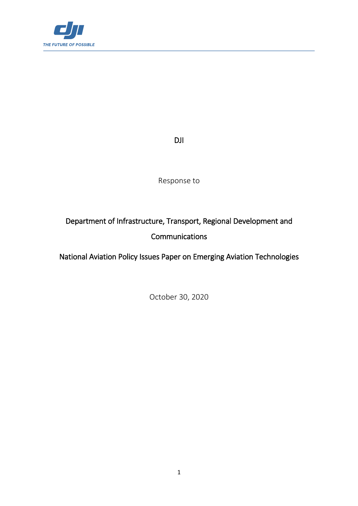

DJI

Response to

# Department of Infrastructure, Transport, Regional Development and Communications

National Aviation Policy Issues Paper on Emerging Aviation Technologies

October 30, 2020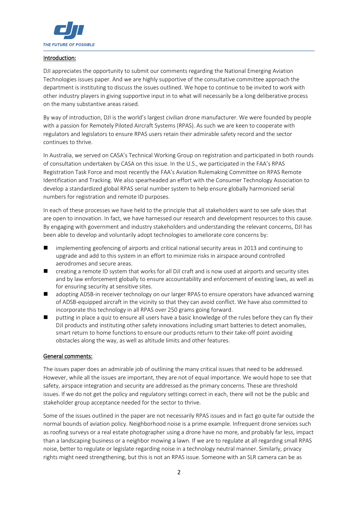

### Introduction:

DJI appreciates the opportunity to submit our comments regarding the National Emerging Aviation Technologies issues paper. And we are highly supportive of the consultative committee approach the department is instituting to discuss the issues outlined. We hope to continue to be invited to work with other industry players in giving supportive input in to what will necessarily be a long deliberative process on the many substantive areas raised.

By way of introduction, DJI is the world's largest civilian drone manufacturer. We were founded by people with a passion for Remotely Piloted Aircraft Systems (RPAS). As such we are keen to cooperate with regulators and legislators to ensure RPAS users retain their admirable safety record and the sector continues to thrive.

In Australia, we served on CASA's Technical Working Group on registration and participated in both rounds of consultation undertaken by CASA on this issue. In the U.S., we participated in the FAA's RPAS Registration Task Force and most recently the FAA's Aviation Rulemaking Committee on RPAS Remote Identification and Tracking. We also spearheaded an effort with the Consumer Technology Association to develop a standardized global RPAS serial number system to help ensure globally harmonized serial numbers for registration and remote ID purposes.

In each of these processes we have held to the principle that all stakeholders want to see safe skies that are open to innovation. In fact, we have harnessed our research and development resources to this cause. By engaging with government and industry stakeholders and understanding the relevant concerns, DJI has been able to develop and voluntarily adopt technologies to ameliorate core concerns by:

- implementing geofencing of airports and critical national security areas in 2013 and continuing to upgrade and add to this system in an effort to minimize risks in airspace around controlled aerodromes and secure areas.
- creating a remote ID system that works for all DJI craft and is now used at airports and security sites and by law enforcement globally to ensure accountability and enforcement of existing laws, as well as for ensuring security at sensitive sites.
- adopting ADSB-in receiver technology on our larger RPAS to ensure operators have advanced warning of ADSB-equipped aircraft in the vicinity so that they can avoid conflict. We have also committed to incorporate this technology in all RPAS over 250 grams going forward.
- **P** putting in place a quiz to ensure all users have a basic knowledge of the rules before they can fly their DJI products and instituting other safety innovations including smart batteries to detect anomalies, smart return to home functions to ensure our products return to their take-off point avoiding obstacles along the way, as well as altitude limits and other features.

### General comments:

The issues paper does an admirable job of outlining the many critical issues that need to be addressed. However, while all the issues are important, they are not of equal importance. We would hope to see that safety, airspace integration and security are addressed as the primary concerns. These are threshold issues. If we do not get the policy and regulatory settings correct in each, there will not be the public and stakeholder group acceptance needed for the sector to thrive.

Some of the issues outlined in the paper are not necessarily RPAS issues and in fact go quite far outside the normal bounds of aviation policy. Neighborhood noise is a prime example. Infrequent drone services such as roofing surveys or a real estate photographer using a drone have no more, and probably far less, impact than a landscaping business or a neighbor mowing a lawn. If we are to regulate at all regarding small RPAS noise, better to regulate or legislate regarding noise in a technology neutral manner. Similarly, privacy rights might need strengthening, but this is not an RPAS issue. Someone with an SLR camera can be as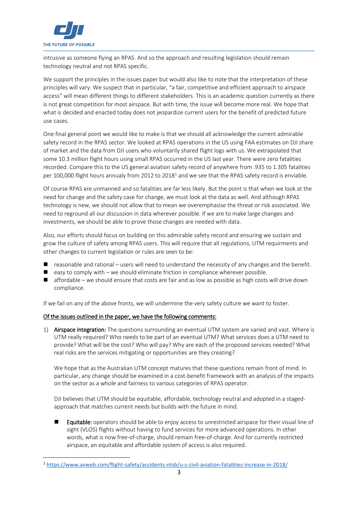

**.** 

intrusive as someone flying an RPAS. And so the approach and resulting legislation should remain technology neutral and not RPAS specific.

We support the principles in the issues paper but would also like to note that the interpretation of these principles will vary. We suspect that in particular, "a fair, competitive and efficient approach to airspace access" will mean different things to different stakeholders. This is an academic question currently as there is not great competition for most airspace. But with time, the issue will become more real. We hope that what is decided and enacted today does not jeopardize current users for the benefit of predicted future use cases.

One final general point we would like to make is that we should all acknowledge the current admirable safety record in the RPAS sector. We looked at RPAS operations in the US using FAA estimates on DJI share of market and the data from DJI users who voluntarily shared flight logs with us. We extrapolated that some 10.3 million flight hours using small RPAS occurred in the US last year. There were zero fatalities recorded. Compare this to the US general aviation safety record of anywhere from .935 to 1.305 fatalities per 100,000 flight hours annualy from 2012 to 2018<sup>1</sup> and we see that the RPAS safety record is enviable.

Of course RPAS are unmanned and so fatalities are far less likely. But the point is that when we look at the need for change and the safety case for change, we must look at the data as well. And although RPAS technology is new, we should not allow that to mean we overemphasise the threat or risk associated. We need to reground all our discussion in data wherever possible. If we are to make large changes and investments, we should be able to prove those changes are needed with data.

Also, our efforts should focus on building on this admirable safety record and ensuring we sustain and grow the culture of safety among RPAS users. This will require that all regulations, UTM requirments and other changes to current legislation or rules are seen to be:

- $\blacksquare$  reasonable and rational users will need to understand the necessity of any changes and the benefit.
- $\blacksquare$  easy to comply with we should eliminate friction in compliance wherever possible.
- affordable we should ensure that costs are fair and as low as possible as high costs will drive down compliance.

If we fail on any of the above fronts, we will undermine the very safety culture we want to foster.

### Of the issues outlined in the paper, we have the following comments:

1) Airspace integration: The questions surrounding an eventual UTM system are varied and vast. Where is UTM really required? Who needs to be part of an eventual UTM? What services does a UTM need to provide? What will be the cost? Who will pay? Why are each of the proposed services needed? What real risks are the services mitigating or opportunities are they creating?

We hope that as the Australian UTM concept matures that these questions remain front of mind. In particular, any change should be examined in a cost-benefit framework with an analysis of the impacts on the sector as a whole and fairness to various categories of RPAS operator.

DJI believes that UTM should be equitable, affordable, technology neutral and adopted in a stagedapproach that matches current needs but builds with the future in mind.

 Equitable: operators should be able to enjoy access to unrestricted airspace for their visual line of sight (VLOS) flights without having to fund services for more advanced operations. In other words, what is now free-of-charge, should remain free-of-charge. And for currently restricted airspace, an equitable and affordable system of access is also required.

<sup>1</sup> <https://www.avweb.com/flight-safety/accidents-ntsb/u-s-civil-aviation-fatalities-increase-in-2018/>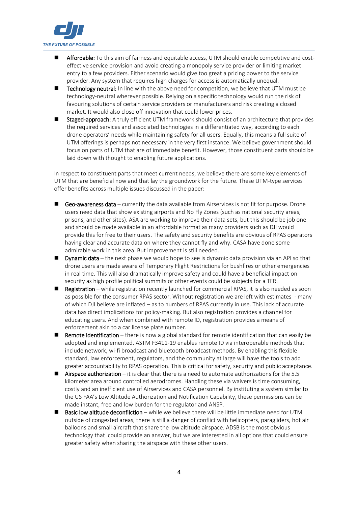

- **Affordable:** To this aim of fairness and equitable access, UTM should enable competitive and costeffective service provision and avoid creating a monopoly service provider or limiting market entry to a few providers. Either scenario would give too great a pricing power to the service provider. Any system that requires high charges for access is automatically unequal.
- Technology neutral: In line with the above need for competition, we believe that UTM must be technology-neutral wherever possible. Relying on a specific technology would run the risk of favouring solutions of certain service providers or manufacturers and risk creating a closed market. It would also close off innovation that could lower prices.
- **Staged-approach:** A truly efficient UTM framework should consist of an architecture that provides the required services and associated technologies in a differentiated way, according to each drone operators' needs while maintaining safety for all users. Equally, this means a full suite of UTM offerings is perhaps not necessary in the very first instance. We believe government should focus on parts of UTM that are of immediate benefit. However, those constituent parts should be laid down with thought to enabling future applications.

In respect to constituent parts that meet current needs, we believe there are some key elements of UTM that are beneficial now and that lay the groundwork for the future. These UTM-type services offer benefits across multiple issues discussed in the paper:

- Geo-awareness data currently the data available from Airservices is not fit for purpose. Drone users need data that show existing airports and No Fly Zones (such as national security areas, prisons, and other sites). ASA are working to improve their data sets, but this should be job one and should be made available in an affordable format as many providers such as DJI would provide this for free to their users. The safety and security benefits are obvious of RPAS operators having clear and accurate data on where they cannot fly and why. CASA have done some admirable work in this area. But improvement is still needed.
- Dynamic data the next phase we would hope to see is dynamic data provision via an API so that drone users are made aware of Temporary Flight Restrictions for bushfires or other emergencies in real time. This will also dramatically improve safety and could have a beneficial impact on security as high profile political summits or other events could be subjects for a TFR.
- Registration while registration recently launched for commercial RPAS, it is also needed as soon as possible for the consumer RPAS sector. Without registration we are left with estimates - many of which DJI believe are inflated – as to numbers of RPAS currently in use. This lack of accurate data has direct implications for policy-making. But also registration provides a channel for educating users. And when combined with remote ID, registration provides a means of enforcement akin to a car license plate number.
- **Remote identification** there is now a global standard for remote identification that can easily be adopted and implemented. ASTM F3411-19 enables remote ID via interoperable methods that include network, wi-fi broadcast and bluetooth broadcast methods. By enabling this flexible standard, law enforcement, regulators, and the community at large will have the tools to add greater accountability to RPAS operation. This is critical for safety, security and public acceptance.
- **Airspace authorization** it is clear that there is a need to automate authorizations for the 5.5 kilometer area around controlled aerodromes. Handling these via waivers is time consuming, costly and an inefficient use of Airservices and CASA personnel. By instituting a system similar to the US FAA's Low Altitude Authorization and Notification Capability, these permissions can be made instant, free and low burden for the regulator and ANSP.
- Basic low altitude deconfliction while we believe there will be little immediate need for UTM outside of congested areas, there is still a danger of conflict with helicopters, paragliders, hot air balloons and small aircraft that share the low altitude airspace. ADSB is the most obvious technology that could provide an answer, but we are interested in all options that could ensure greater safety when sharing the airspace with these other users.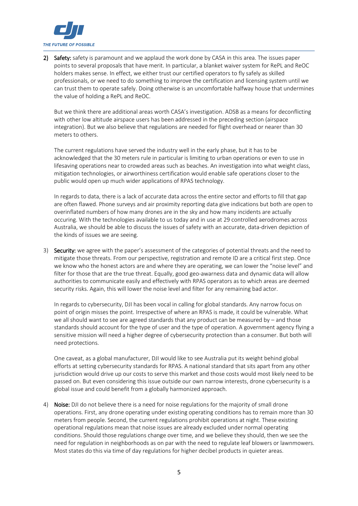

2) Safety: safety is paramount and we applaud the work done by CASA in this area. The issues paper points to several proposals that have merit. In particular, a blanket waiver system for RePL and ReOC holders makes sense. In effect, we either trust our certified operators to fly safely as skilled professionals, or we need to do something to improve the certification and licensing system until we can trust them to operate safely. Doing otherwise is an uncomfortable halfway house that undermines the value of holding a RePL and ReOC.

But we think there are additional areas worth CASA's investigation. ADSB as a means for deconflicting with other low altitude airspace users has been addressed in the preceding section (airspace integration). But we also believe that regulations are needed for flight overhead or nearer than 30 meters to others.

The current regulations have served the industry well in the early phase, but it has to be acknowledged that the 30 meters rule in particular is limiting to urban operations or even to use in lifesaving operations near to crowded areas such as beaches. An investigation into what weight class, mitigation technologies, or airworthiness certification would enable safe operations closer to the public would open up much wider applications of RPAS technology.

In regards to data, there is a lack of accurate data across the entire sector and efforts to fill that gap are often flawed. Phone surveys and air proximity reporting data give indications but both are open to overinflated numbers of how many drones are in the sky and how many incidents are actually occuring. With the technologies available to us today and in use at 29 controlled aerodromes across Australia, we should be able to discuss the issues of safety with an accurate, data-driven depiction of the kinds of issues we are seeing.

3) Security: we agree with the paper's assessment of the categories of potential threats and the need to mitigate those threats. From our perspective, registration and remote ID are a critical first step. Once we know who the honest actors are and where they are operating, we can lower the "noise level" and filter for those that are the true threat. Equally, good geo-awarness data and dynamic data will allow authorities to communicate easily and effectively with RPAS operators as to which areas are deemed security risks. Again, this will lower the noise level and filter for any remaining bad actor.

In regards to cybersecurity, DJI has been vocal in calling for global standards. Any narrow focus on point of origin misses the point. Irrespective of where an RPAS is made, it could be vulnerable. What we all should want to see are agreed standards that any product can be measured by – and those standards should account for the type of user and the type of operation. A government agency flying a sensitive mission will need a higher degree of cybersecurity protection than a consumer. But both will need protections.

One caveat, as a global manufacturer, DJI would like to see Australia put its weight behind global efforts at setting cybersecurity standards for RPAS. A national standard that sits apart from any other jurisdiction would drive up our costs to serve this market and those costs would most likely need to be passed on. But even considering this issue outside our own narrow interests, drone cybersecurity is a global issue and could benefit from a globally harmonized approach.

4) Noise: DJI do not believe there is a need for noise regulations for the majority of small drone operations. First, any drone operating under existing operating conditions has to remain more than 30 meters from people. Second, the current regulations prohibit operations at night. These existing operational regulations mean that noise issues are already excluded under normal operating conditions. Should those regulations change over time, and we believe they should, then we see the need for regulation in neighborhoods as on par with the need to regulate leaf blowers or lawnmowers. Most states do this via time of day regulations for higher decibel products in quieter areas.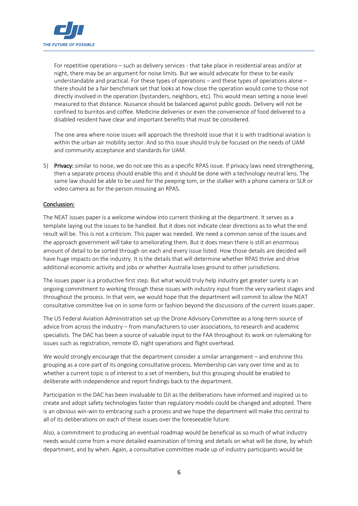

For repetitive operations – such as delivery services - that take place in residential areas and/or at night, there may be an argument for noise limits. But we would advocate for these to be easily understandable and practical. For these types of operations – and these types of operations alone – there should be a fair benchmark set that looks at how close the operation would come to those not directly involved in the operation (bystanders, neighbors, etc). This would mean setting a noise level measured to that distance. Nuisance should be balanced against public goods. Delivery will not be confined to burritos and coffee. Medicine deliveries or even the convenience of food delivered to a disabled resident have clear and important benefits that must be considered.

The one area where noise issues will approach the threshold issue that it is with traditional aviation is within the urban air mobility sector. And so this issue should truly be focused on the needs of UAM and community acceptance and standards for UAM.

5) Privacy: similar to noise, we do not see this as a specific RPAS issue. If privacy laws need strengthening, then a separate process should enable this and it should be done with a technology neutral lens. The same law should be able to be used for the peeping tom, or the stalker with a phone camera or SLR or video camera as for the person misusing an RPAS.

## Conclussion:

The NEAT issues paper is a welcome window into current thinking at the department. It serves as a template laying out the issues to be handled. But it does not indicate clear directions as to what the end result will be. This is not a criticism. This paper was needed. We need a common sense of the issues and the approach government will take to ameliorating them. But it does mean there is still an enormous amount of detail to be sorted through on each and every issue listed. How those details are decided will have huge impacts on the industry. It is the details that will determine whether RPAS thrive and drive additional economic activity and jobs or whether Australia loses ground to other jurisdictions.

The issues paper is a productive first step. But what would truly help industry get greater surety is an ongoing commitment to working through these issues with industry input from the very earliest stages and throughout the process. In that vein, we would hope that the department will commit to allow the NEAT consultative committee live on in some form or fashion beyond the discussions of the current issues paper.

The US Federal Aviation Administration set up the Drone Advisory Committee as a long-term source of advice from across the industry – from manufacturers to user associations, to research and academic specialists. The DAC has been a source of valuable input to the FAA throughout its work on rulemaking for issues such as registration, remote ID, night operations and flight overhead.

We would strongly encourage that the department consider a similar arrangement – and enshrine this grouping as a core part of its ongoing consultative process. Membership can vary over time and as to whether a current topic is of interest to a set of members, but this grouping should be enabled to deliberate with independence and report findings back to the department.

Participation in the DAC has been invaluable to DJI as the deliberations have informed and inspired us to create and adopt safety technologies faster than regulatory models could be changed and adopted. There is an obvious win-win to embracing such a process and we hope the department will make this central to all of its deliberations on each of these issues over the foreseeable future.

Also, a commitment to producing an eventual roadmap would be beneficial as so much of what industry needs would come from a more detailed examination of timing and details on what will be done, by which department, and by when. Again, a consultative committee made up of industry participants would be